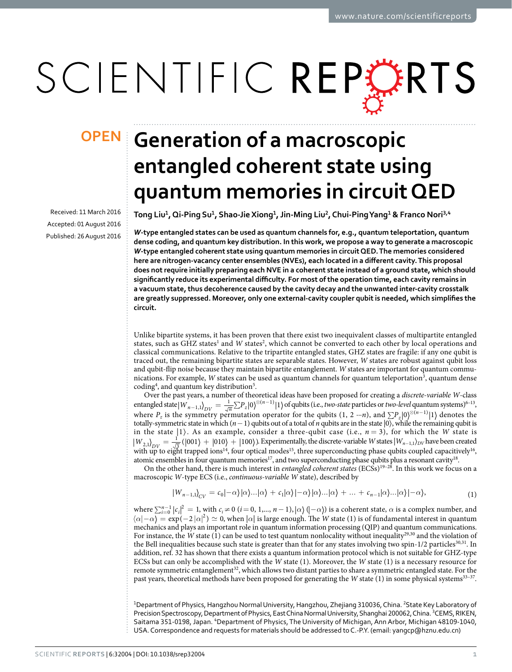# SCIENTIFIC REPERTS

Received: 11 March 2016 accepted: 01 August 2016 Published: 26 August 2016

## **Generation of a macroscopic OPENentangled coherent state using quantum memories in circuit QED**

**Tong Liu<sup>1</sup>, Qi-Ping Su<sup>1</sup>, Shao-JieXiong<sup>1</sup>, Jin-Ming Liu<sup>2</sup>, Chui-PingYang<sup>1</sup> & Franco Nori<sup>3</sup>,<sup>4</sup>**

*W***-type entangled states can be used as quantum channels for, e.g., quantum teleportation, quantum dense coding, and quantum key distribution. In this work, we propose a way to generate a macroscopic**  *W***-type entangled coherent state using quantum memories in circuit QED. The memories considered here are nitrogen-vacancy center ensembles (NVEs), each located in a different cavity. This proposal does not require initially preparing each NVE in a coherent state instead of a ground state, which should significantly reduce its experimental difficulty. For most of the operation time, each cavity remains in a vacuum state, thus decoherence caused by the cavity decay and the unwanted inter-cavity crosstalk are greatly suppressed. Moreover, only one external-cavity coupler qubit is needed, which simplifies the circuit.**

Unlike bipartite systems, it has been proven that there exist two inequivalent classes of multipartite entangled states, such as GHZ states<sup>[1](#page-11-0)</sup> and *W* states<sup>2</sup>, which cannot be converted to each other by local operations and classical communications. Relative to the tripartite entangled states, GHZ states are fragile: if any one qubit is traced out, the remaining bipartite states are separable states. However, *W* states are robust against qubit loss and qubit-flip noise because they maintain bipartite entanglement. *W* states are important for quantum commu-nications. For example, W states can be used as quantum channels for quantum teleportation<sup>[3](#page-11-2)</sup>, quantum dense coding<sup>4</sup>, and quantum key distribution<sup>[5](#page-11-4)</sup>.

Over the past years, a number of theoretical ideas have been proposed for creating a *discrete-variable W*-class entangled state  $|W_{n-1,1}\rangle_{DV} = \frac{1}{\sqrt{n}} \sum P_z |0\rangle^{\otimes (n-1)} |1\rangle$  of qubits (i.e., *two-state* particles or *two-level* quantum systems)<sup>6–13</sup>, where  $P_z$  is the symmetry permutation operator for the qubits (1, 2 ···*n*), and  $\sum P_z |0\rangle^{\otimes (n-1)}|1\rangle$  denotes the totally-symmetric state in which  $(n-1)$  qubits out of a total of *n* qubits are in the state  $|0\rangle$ , while the remaining qubit is in the state  $|1\rangle$ . As an example, consider a three-qubit case (i.e.,  $n = 3$ ), for which the *W* state is  $W_{2,1}$  $_{DV} = \frac{1}{\sqrt{3}} (|001\rangle + |010\rangle + |100\rangle)$ . Experimentally, the discrete-variable *W* states  $|W_{n-1,1}\rangle_{DV}$  have been created with up to eight trapped ions<sup>14</sup>, four optical modes<sup>15</sup>, three superconducting phase qubits coupled capacitively<sup>16</sup>, atomic ensembles in four quantum memories<sup>17</sup>, and two superconducting phase qubits plus a resonant cavity<sup>18</sup>.

On the other hand, there is much interest in *entangled coherent states* (ECSs)<sup>19-28</sup>. In this work we focus on a macroscopic *W*-type ECS (i.e., *continuous-variable W* state), described by

$$
|W_{n-1,1}\rangle_{CV} = c_0|-\alpha\rangle|\alpha\rangle\ldots|\alpha\rangle + c_1|\alpha\rangle|-\alpha\rangle|\alpha\rangle\ldots|\alpha\rangle + \ldots + c_{n-1}|\alpha\rangle\ldots|\alpha\rangle|-\alpha\rangle,\tag{1}
$$

where  $\sum_{i=0}^{n-1} |c_i|^2 = 1$ , with  $c_i \neq 0$  ( $i = 0, 1,..., n-1$ ),  $|\alpha\rangle$  ( $|\alpha\rangle$ ) is a coherent state,  $\alpha$  is a complex number, and  $\langle \alpha | - \alpha \rangle = \exp(-2 |\alpha|^2) \simeq 0$ , when  $|\alpha|$  is large enough. The *W* state (1) is of fundamental interest in quantum mechanics and plays an important role in quantum information processing (QIP) and quantum communications. For instance, the *W* state (1) can be used to test quantum nonlocality without inequality<sup>29,30</sup> and the violation of the Bell inequalities because such state is greater than that for any states involving two spin-1/2 particles $30,31$  $30,31$ . In addition, ref. [32](#page-12-9) has shown that there exists a quantum information protocol which is not suitable for GHZ-type ECSs but can only be accomplished with the *W* state (1). Moreover, the *W* state (1) is a necessary resource for remote symmetric entanglement<sup>[32](#page-12-9)</sup>, which allows two distant parties to share a symmetric entangled state. For the past years, theoretical methods have been proposed for generating the *W* state (1) in some physical systems<sup>33-37</sup>.

<sup>1</sup>Department of Physics, Hangzhou Normal University, Hangzhou, Zhejiang 310036, China. <sup>2</sup>State Key Laboratory of Precision Spectroscopy, Department of Physics, East China Normal University, Shanghai 200062, China. <sup>3</sup>CEMS, RIKEN, Saitama 351-0198, Japan. <sup>4</sup>Department of Physics, The University of Michigan, Ann Arbor, Michigan 48109-1040, USA. Correspondence and requests for materials should be addressed to C.-P.Y. (email: [yangcp@hznu.edu.cn\)](mailto:yangcp@hznu.edu.cn)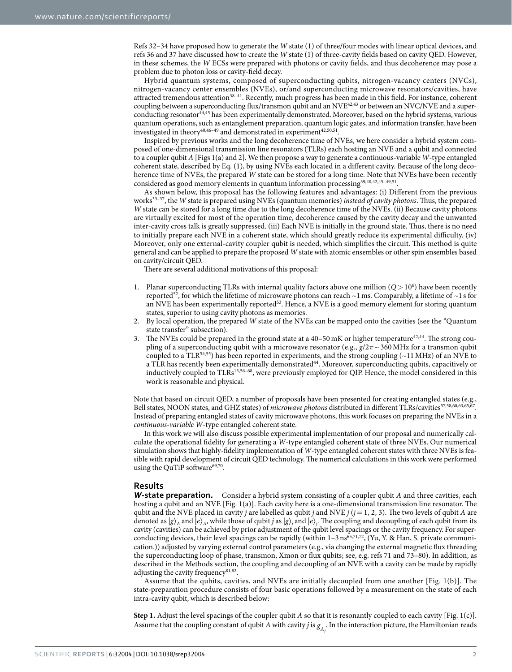Refs [32–34](#page-12-9) have proposed how to generate the *W* state (1) of three/four modes with linear optical devices, and refs [36](#page-12-11) and [37](#page-12-12) have discussed how to create the *W* state (1) of three-cavity fields based on cavity QED. However, in these schemes, the *W* ECSs were prepared with photons or cavity fields, and thus decoherence may pose a problem due to photon loss or cavity-field decay.

Hybrid quantum systems, composed of superconducting qubits, nitrogen-vacancy centers (NVCs), nitrogen-vacancy center ensembles (NVEs), or/and superconducting microwave resonators/cavities, have attracted tremendous attention<sup>38-41</sup>. Recently, much progress has been made in this field. For instance, coherent coupling between a superconducting flux/transmon qubit and an NVE<sup>42,43</sup> or between an NVC/NVE and a super-conducting resonator<sup>[44](#page-12-16),[45](#page-12-17)</sup> has been experimentally demonstrated. Moreover, based on the hybrid systems, various quantum operations, such as entanglement preparation, quantum logic gates, and information transfer, have been investigated in theory<sup>40,46-49</sup> and demonstrated in experiment<sup>42[,50](#page-12-20),51</sup>.

Inspired by previous works and the long decoherence time of NVEs, we here consider a hybrid system composed of one-dimensional transmission line resonators (TLRs) each hosting an NVE and a qubit and connected to a coupler qubit *A* [[Figs 1](#page-2-0)(a) and [2\]](#page-4-0). We then propose a way to generate a continuous-variable *W*-type entangled coherent state, described by Eq. (1), by using NVEs each located in a different cavity. Because of the long decoherence time of NVEs, the prepared *W* state can be stored for a long time. Note that NVEs have been recently considered as good memory elements in quantum information processin[g39](#page-12-22)[,40](#page-12-18)[,42](#page-12-14)[,45–49,](#page-12-17)[51](#page-12-21).

As shown below, this proposal has the following features and advantages: (i) Different from the previous work[s33–37](#page-12-10), the *W* state is prepared using NVEs (quantum memories) *instead of cavity photons*. Thus, the prepared *W* state can be stored for a long time due to the long decoherence time of the NVEs. (ii) Because cavity photons are virtually excited for most of the operation time, decoherence caused by the cavity decay and the unwanted inter-cavity cross talk is greatly suppressed. (iii) Each NVE is initially in the ground state. Thus, there is no need to initially prepare each NVE in a coherent state, which should greatly reduce its experimental difficulty. (iv) Moreover, only one external-cavity coupler qubit is needed, which simplifies the circuit. This method is quite general and can be applied to prepare the proposed *W* state with atomic ensembles or other spin ensembles based on cavity/circuit QED.

There are several additional motivations of this proposal:

- 1. Planar superconducting TLRs with internal quality factors above one million (*Q*> 106 ) have been recently reported<sup>52</sup>, for which the lifetime of microwave photons can reach  $\sim$ 1 ms. Comparably, a lifetime of  $\sim$ 1 s for an NVE has been experimentally reported<sup>[53](#page-12-24)</sup>. Hence, a NVE is a good memory element for storing quantum states, superior to using cavity photons as memories.
- 2. By local operation, the prepared *W* state of the NVEs can be mapped onto the cavities (see the "Quantum state transfer" subsection).
- 3. The NVEs could be prepared in the ground state at a  $40-50$  mK or higher temperature $42,44$  $42,44$  $42,44$ . The strong coupling of a superconducting qubit with a microwave resonator (e.g.,  $g/2\pi \sim 360 \text{ MHz}$  for a transmon qubit coupled to a TLR[54](#page-12-25),[55](#page-12-26)) has been reported in experiments, and the strong coupling (~11MHz) of an NVE to a TLR has recently been experimentally demonstrated<sup>[44](#page-12-16)</sup>. Moreover, superconducting qubits, capacitively or inductively coupled to TLR[s13](#page-12-27)[,56–68,](#page-12-28) were previously employed for QIP. Hence, the model considered in this work is reasonable and physical.

Note that based on circuit QED, a number of proposals have been presented for creating entangled states (e.g., Bell states, NOON states, and GHZ states) of *microwave photons* distributed in different TLRs/cavities[57](#page-13-0)[,58](#page-13-1)[,60](#page-13-2)[,63,](#page-13-3)[65,](#page-13-4)[67.](#page-13-5) Instead of preparing entangled states of cavity microwave photons, this work focuses on preparing the NVEs in a *continuous-variable W*-type entangled coherent state.

In this work we will also discuss possible experimental implementation of our proposal and numerically calculate the operational fidelity for generating a *W*-type entangled coherent state of three NVEs. Our numerical simulation shows that highly-fidelity implementation of *W*-type entangled coherent states with three NVEs is feasible with rapid development of circuit QED technology. The numerical calculations in this work were performed using the QuTiP software $69,70$  $69,70$  $69,70$ .

#### **Results**

*W***-state preparation.** Consider a hybrid system consisting of a coupler qubit *A* and three cavities, each hosting a qubit and an NVE [\[Fig. 1\(a\)](#page-2-0)]. Each cavity here is a one-dimensional transmission line resonator. The qubit and the NVE placed in cavity *j* are labelled as qubit *j* and NVE  $j$  ( $j = 1, 2, 3$ ). The two levels of qubit *A* are denoted as  $|g\rangle_A$  and  $|e\rangle_A$ , while those of qubit *j* as  $|g\rangle_j$  and  $|e\rangle_j$ . The coupling and decoupling of each qubit from its cavity (cavities) can be achieved by prior adjustment of the qubit level spacings or the cavity frequency. For super-conducting devices, their level spacings can be rapidly (within 1-3 ns<sup>[65](#page-13-4),[71](#page-13-8),[72](#page-13-9)</sup>, (Yu, Y. & Han, S. private communication.)) adjusted by varying external control parameters (e.g., via changing the external magnetic flux threading the superconducting loop of phase, transmon, Xmon or flux qubits; see, e.g. refs [71](#page-13-8) and 73–80). In addition, as described in the Methods section, the coupling and decoupling of an NVE with a cavity can be made by rapidly adjusting the cavity frequency<sup>[81](#page-13-10),[82](#page-13-11)</sup>.

Assume that the qubits, cavities, and NVEs are initially decoupled from one another [[Fig. 1\(b\)\]](#page-2-0). The state-preparation procedure consists of four basic operations followed by a measurement on the state of each intra-cavity qubit, which is described below:

**Step 1.** Adjust the level spacings of the coupler qubit *A* so that it is resonantly coupled to each cavity [\[Fig. 1\(c\)](#page-2-0)]. Assume that the coupling constant of qubit *A* with cavity *j* is  $g_{A_j}$ . In the interaction picture, the Hamiltonian reads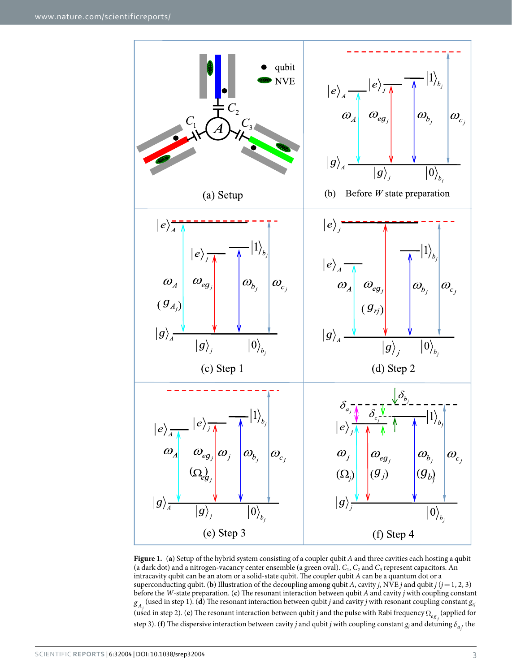

<span id="page-2-0"></span>**Figure 1.** (**a**) Setup of the hybrid system consisting of a coupler qubit *A* and three cavities each hosting a qubit (a dark dot) and a nitrogen-vacancy center ensemble (a green oval). *C*1, *C*2 and *C*3 represent capacitors. An intracavity qubit can be an atom or a solid-state qubit. The coupler qubit *A* can be a quantum dot or a superconducting qubit. (**b**) Illustration of the decoupling among qubit *A*, cavity *j*, NVE *j* and qubit *j* ( $j = 1, 2, 3$ ) before the *W*-state preparation. (**c**) The resonant interaction between qubit *A* and cavity *j* with coupling constant  $g_A$  (used in step 1). (**d**) The resonant interaction between qubit *j* and cavity *j* with resonant coupling constant  $g_B$ (used in step 2). (**e**) The resonant interaction between qubit *j* and the pulse with Rabi frequency Ω<sub>eg<sub>*j*</sub></sub> (applied for step 3). (**f**) The dispersive interaction between cavity *j* and qubit *j* with coupling constant  $g_j$  and detuning  $\delta_{a_j}$ , the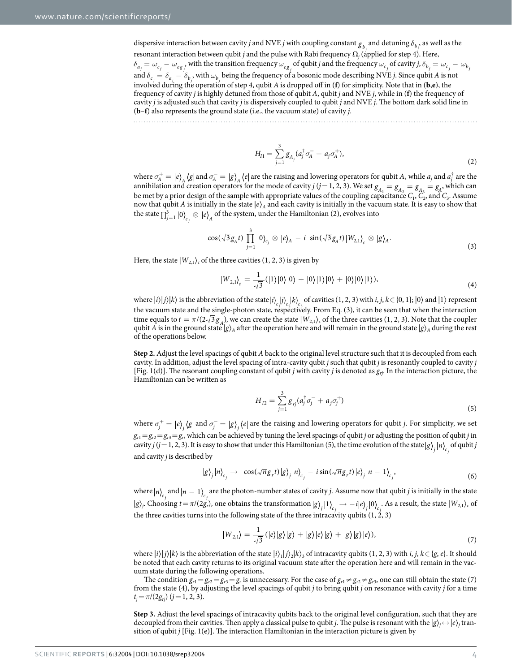dispersive interaction between cavity *j* and NVE *j* with coupling constant  $g_{b_j}$  and detuning  $\delta_{b_j}$ , as well as the resonant interaction between qubit *j* and the pulse with Rabi frequency Ω*<sup>j</sup>* (applied for step 4). Here,  $\delta_{a_j} = \omega_{c_j} - \omega_{eg_j}$ , with the transition frequency  $\omega_{eg_j}$  of qubit *j* and the frequency  $\omega_{c_j}$  of cavity *j*,  $\delta_{b_j} = \omega_{c_j} - \omega_{b_j}$ and  $\delta_{c_j} = \delta_{a_j} - \delta_{b_j}$ , with  $\omega_{b_j}$  being the frequency of a bosonic mode describing NVE *j*. Since qubit *A* is not involved during the operation of step 4, qubit *A* is dropped off in (**f**) for simplicity. Note that in (**b**,**e**), the frequency of cavity *j* is highly detuned from those of qubit *A*, qubit *j* and NVE *j*, while in (**f**) the frequency of cavity *j* is adjusted such that cavity *j* is dispersively coupled to qubit *j* and NVE *j*. The bottom dark solid line in (**b**–**f**) also represents the ground state (i.e., the vacuum state) of cavity *j*.

$$
H_{I1} = \sum_{j=1}^{3} g_{A_j} (a_j^{\dagger} \sigma_A^- + a_j \sigma_A^+), \tag{2}
$$

where  $\sigma_A^+ = |e\rangle_A \langle g|$  and  $\sigma_A^- = |g\rangle_A \langle e|$  are the raising and lowering operators for qubit *A*, while  $a_j$  and  $a_j^\dagger$  are the annihilation and creation operators for the mode of cavity  $j$  ( $j = 1, 2, 3$ ). We set  $g_{A_1} = g_{A_2} = g_{A_3} = g_{A_1}$ , which can be met by a prior design of the sample with appropriate values of the coupling capacitance  $C_1$ ,  $\tilde{C}_2$ , and  $\tilde{C}_3$ . Assume now that qubit *A* is initially in the state  $|e\rangle_A$  and each cavity is initially in the vacuum state. It is easy to show that the state  $\prod_{j=1}^3 \ket{0}_{c_j} \otimes \ket{e}_A$  $\mathcal{G} \mid e \rangle_{\! A}$  of the system, under the Hamiltonian (2), evolves into

$$
\cos(\sqrt{3}g_A t) \prod_{j=1}^3 |0\rangle_{c_j} \otimes |e\rangle_A - i \sin(\sqrt{3}g_A t)|W_{2,1}\rangle_c \otimes |g\rangle_A.
$$
 (3)

Here, the state  $|W_{2,1}\rangle_c$  of the three cavities (1, 2, 3) is given by

$$
|W_{2,1}\rangle_c = \frac{1}{\sqrt{3}}(|1\rangle|0\rangle|0\rangle + |0\rangle|1\rangle|0\rangle + |0\rangle|0\rangle|1\rangle),\tag{4}
$$

where  $|i\rangle|j\rangle|k\rangle$  is the abbreviation of the state  $|i\rangle$ ,  $|j\rangle$ ,  $|k\rangle$ , of cavities (1, 2, 3) with *i*, *j*,  $k \in \{0, 1\}$ ;  $|0\rangle$  and  $|1\rangle$  represent the vacuum state and the single-photon state, respectively. From Eq. (3), it can be seen that when the interaction time equals to  $t = \pi/(2\sqrt{3}g_A)$ , we can create the state  $|W_{2,1}\rangle_c$  of the three cavities (1, 2, 3). Note that the coupler qubit *A* is in the ground state  $|g\rangle$ <sup>*A*</sup> after the operation here and will remain in the ground state  $|g\rangle$ <sup>*A*</sup> during the rest of the operations below.

**Step 2.** Adjust the level spacings of qubit *A* back to the original level structure such that it is decoupled from each cavity. In addition, adjust the level spacing of intra-cavity qubit *j* such that qubit *j* is resonantly coupled to cavity *j* [[Fig. 1\(d\)](#page-2-0)]. The resonant coupling constant of qubit *j* with cavity *j* is denoted as *grj*. In the interaction picture, the Hamiltonian can be written as

$$
H_{I2} = \sum_{j=1}^{3} g_{rj} (a_j^{\dagger} \sigma_j^- + a_j \sigma_j^+) \tag{5}
$$

where  $\sigma_j^+ = |e_j\rangle_j\langle g|$  and  $\sigma_j^- = |g\rangle_j\langle e|$  are the raising and lowering operators for qubit *j*. For simplicity, we set  $g_{r1}=g_{r2}=g_{r3}=g_r$ , which can be achieved by tuning the level spacings of qubit *j* or adjusting the position of qubit *j* in cavity *j* (*j* = 1, 2, 3). It is easy to show that under this Hamiltonian (5), the time evolution of the state  $|g\rangle_j |n\rangle_{c_j}$  of qubit *j* and cavity *j* is described by

$$
|g\rangle_j |n\rangle_{c_j} \to \cos(\sqrt{n}g_r t) |g\rangle_j |n\rangle_{c_j} - i\sin(\sqrt{n}g_r t) |e\rangle_j |n-1\rangle_{c_j}, \tag{6}
$$

where  $|n\rangle_{c_j}$  and  $|n-1\rangle_{c_j}$  are the photon-number states of cavity *j*. Assume now that qubit *j* is initially in the state  $|g\rangle_j$ . Choosing  $t = \pi/(2g_r)$ , one obtains the transformation  $|g\rangle_j |1\rangle_{c_j} \rightarrow -i|e\rangle_j |0\rangle_{c_j}$ . As a result, the state  $|W_{2,1}\rangle_c$  of the three cavities turns into the following state of the three intracavity qubits  $(1, 2, 3)$ 

$$
|W_{2,1}\rangle = \frac{1}{\sqrt{3}} (|e\rangle|g\rangle|g\rangle + |g\rangle|e\rangle|g\rangle + |g\rangle|g\rangle|e\rangle), \tag{7}
$$

where  $|i\rangle|j\rangle|k\rangle$  is the abbreviation of the state  $|i\rangle_1|j\rangle_2|k\rangle_3$  of intracavity qubits (1, 2, 3) with *i*, *j*, *k*∈{*g*, *e*}. It should be noted that each cavity returns to its original vacuum state after the operation here and will remain in the vacuum state during the following operations.

The condition  $g_{r1} = g_{r2} = g_{r3} = g_r$  is unnecessary. For the case of  $g_{r1} \neq g_{r2} \neq g_{r3}$ , one can still obtain the state (7) from the state (4), by adjusting the level spacings of qubit *j* to bring qubit *j* on resonance with cavity *j* for a time  $t_j = \pi/(2g_{ri})$  ( $j = 1, 2, 3$ ).

**Step 3.** Adjust the level spacings of intracavity qubits back to the original level configuration, such that they are decoupled from their cavities. Then apply a classical pulse to qubit *j*. The pulse is resonant with the  $|g\rangle_j\leftrightarrow |e\rangle_j$  transition of qubit  $j$  [[Fig. 1\(e\)](#page-2-0)]. The interaction Hamiltonian in the interaction picture is given by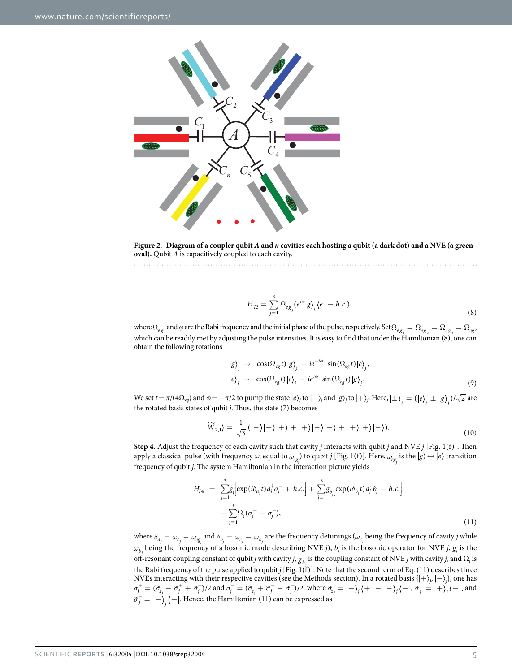

<span id="page-4-0"></span>**Figure 2. Diagram of a coupler qubit** *A* **and** *n* **cavities each hosting a qubit (a dark dot) and a NVE (a green oval).** Qubit *A* is capacitively coupled to each cavity.

$$
H_{I3} = \sum_{j=1}^{3} \Omega_{eg_j} (e^{i\phi} |g\rangle_j \langle e| + h.c.), \tag{8}
$$

where  $\Omega_{eg}$  and  $\phi$  are the Rabi frequency and the initial phase of the pulse, respectively. Set  $\Omega_{eg} = \Omega_{eg} = \Omega_{eg}$ ,  $\Omega_{eg} = \Omega_{eg}$ which can be readily met by adjusting the pulse intensities. It is easy to find that under the Hamiltonian (8), one can obtain the following rotations

$$
|g\rangle_{j} \rightarrow \cos(\Omega_{eg}t)|g\rangle_{j} - ie^{-i\phi} \sin(\Omega_{eg}t)|e\rangle_{j},
$$
  

$$
|e\rangle_{j} \rightarrow \cos(\Omega_{eg}t)|e\rangle_{j} - ie^{i\phi} \sin(\Omega_{eg}t)|g\rangle_{j}.
$$
 (9)

We set  $t = \pi/(4\Omega_{eg})$  and  $\phi = -\pi/2$  to pump the state  $|e\rangle_j$  to  $|-\rangle_j$  and  $|g\rangle_j$  to  $|+\rangle_j$ . Here,  $|\pm\rangle_j = (|e\rangle_j \pm |g\rangle_j)/\sqrt{2}$  are the rotated basis states of qubit *j*. Thus, the state (7) becomes

$$
\widetilde{W}_{2,1}\rangle = \frac{1}{\sqrt{3}}(|-\rangle|+\rangle|+\rangle+|+\rangle|-\rangle|+\rangle+|+\rangle|+\rangle|-\rangle).
$$
\n(10)

**Step 4.** Adjust the frequency of each cavity such that cavity *j* interacts with qubit *j* and NVE *j* [[Fig. 1\(f\)\]](#page-2-0). Then apply a classical pulse (with frequency  $\omega_j$  equal to  $\omega_{eg_j}$ ) to qubit *j* [[Fig. 1\(f\)\]](#page-2-0). Here,  $\omega_{eg_j}$  is the  $|g\rangle \leftrightarrow |e\rangle$  transition frequency of qubit *j*. The system Hamiltonian in the interaction picture yields

$$
H_{I4} = \sum_{j=1}^{3} g_j \Big[ \exp(i\delta_{a_j} t) a_j^{\dagger} \sigma_j^- + h.c. \Big] + \sum_{j=1}^{3} g_{b_j} \Big[ \exp(i\delta_{b_j} t) a_j^{\dagger} b_j + h.c. \Big] + \sum_{j=1}^{3} \Omega_j (\sigma_j^+ + \sigma_j^-), \tag{11}
$$

where  $\delta_{a_j}=\omega_{c_j}-\omega_{eg_j}$  and  $\delta_{b_j}=\omega_{c_j}-\omega_{b_j}$  are the frequency detunings  $(\omega_{c_j}$  being the frequency of cavity  $j$  while  $\omega_{b_j}$  being the frequency of a bosonic mode describing NVE *j*),  $b_j$  is the bosonic operator for NVE *j*,  $g_j$  is the off-resonant coupling constant of qubit *j* with cavity *j*,  $g_{b_j}$  is the coupling constant of NVE *j* with cavity *j*, and  $\Omega_j$  is the Rabi frequency of the pulse applied to qubit *j* [\[Fig. 1\(f\)](#page-2-0)]. Note that the second term of Eq. (11) describes three NVEs interacting with their respective cavities (see the Methods section). In a rotated basis {|+〉*<sup>j</sup>* , |−〉*<sup>j</sup>* }, one has  $\sigma_j^+=(\widetilde\sigma_{z_j}-\widetilde\sigma_j^++\widetilde\sigma_j^-)$ /2 and  $\sigma_j^-= (\widetilde\sigma_{z_j}+\widetilde\sigma_j^+-\widetilde\sigma_j^-)$ /2, where  $\widetilde\sigma_{z_j}= |+\rangle_j\langle +|-|- \rangle_j\langle -|, \widetilde\sigma_j^+=|+\rangle_j\langle -|,$  and  $\sigma^-_j = \ket{-}_j \bra{+}$ . Hence, the Hamiltonian (11) can be expressed as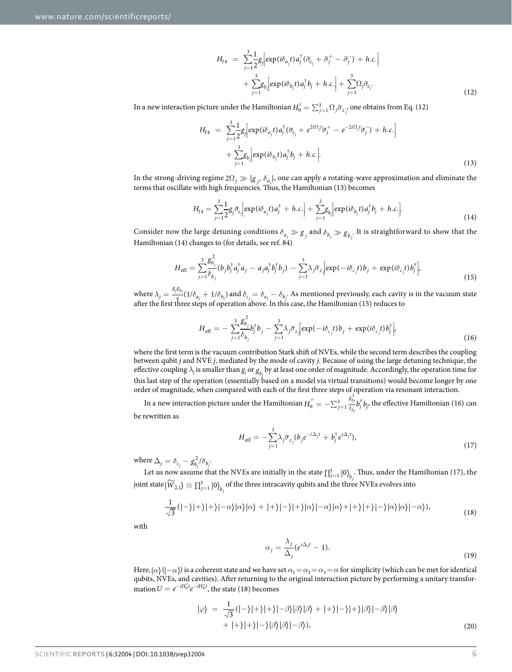$$
H_{I4} = \sum_{j=1}^{3} \frac{1}{2} g_j \Big[ \exp(i\delta_{a_j} t) a_j^{\dagger} (\tilde{\sigma}_{z_j} + \tilde{\sigma}_j^+ - \tilde{\sigma}_j^-) + h.c. \Big] + \sum_{j=1}^{3} g_{b_j} \Big[ \exp(i\delta_{b_j} t) a_j^{\dagger} b_j + h.c. \Big] + \sum_{j=1}^{3} \Omega_j \tilde{\sigma}_{z_j}.
$$
\n(12)

In a new interaction picture under the Hamiltonian  $H_0'=\sum_{j=1}^3\Omega_j\widetilde\sigma_{z_j}$ , one obtains from Eq. (12)

$$
H_{I4} = \sum_{j=1}^{3} \frac{1}{2} g_j \Big[ \exp(i\delta_{a_j} t) a_j^{\dagger} (\tilde{\sigma}_{z_j} + e^{2i\Omega_j t} \tilde{\sigma}_j^+ - e^{-2i\Omega_j t} \tilde{\sigma}_j^-) + h.c. \Big] + \sum_{j=1}^{3} g_{b_j} \Big[ \exp(i\delta_{b_j} t) a_j^{\dagger} b_j + h.c. \Big].
$$
\n(13)

In the strong-driving regime  $2\Omega_j \gg \{g_j, \delta_{a_j}\}\$ , one can apply a rotating-wave approximation and eliminate the terms that oscillate with high frequencies. Thus, the Hamiltonian (13) becomes

$$
H_{I4} = \sum_{j=1}^{3} \frac{1}{2} g_j \widetilde{\sigma}_{z_j} \Big[ \exp(i\delta_{a_j}t) a_j^{\dagger} + h.c. \Big] + \sum_{j=1}^{3} g_{b_j} \Big[ \exp(i\delta_{b_j}t) a_j^{\dagger} b_j + h.c. \Big]. \tag{14}
$$

Consider now the large detuning conditions  $\delta_{a_j} \gg g_j$  and  $\delta_{b_j} \gg g_{b_j}$ . It is straightforward to show that the Hamiltonian (14) changes to (for details, see ref. [84](#page-13-12))

$$
H_{\text{eff}} = \sum_{j=1}^{3} \frac{g_{b_j}^2}{\delta_{b_j}} (b_j b_j^{\dagger} a_j^{\dagger} a_j - a_j a_j^{\dagger} b_j^{\dagger} b_j) - \sum_{j=1}^{3} \lambda_j \widetilde{\sigma}_z \Big[ \exp(-i\delta_{c_j} t) b_j + \exp(i\delta_{c_j} t) b_j^{\dagger} \Big], \tag{15}
$$

where  $\lambda_j = \frac{g_j g_{b_j}}{4} (1/\delta_{a_j} + 1/\delta_{b_j})$  $\frac{d^2b_j}{dt}(1/\delta_{a_j} + 1/\delta_{b_j})$  and  $\delta_{c_j} = \delta_{a_j} - \delta_{b_j}$ . As mentioned previously, each cavity is in the vacuum state after the first three steps of operation above. In this case, the Hamiltonian (15) reduces to

$$
H_{\text{eff}} = -\sum_{j=1}^{3} \frac{g_{b_j}}{\delta_{b_j}} b_j^{\dagger} b_j - \sum_{j=1}^{3} \lambda_j \tilde{\sigma}_z \Big[ \exp(-i\delta_{c_j}t) b_j + \exp(i\delta_{c_j}t) b_j^{\dagger} \Big], \tag{16}
$$

where the first term is the vacuum contribution Stark shift of NVEs, while the second term describes the coupling between qubit *j* and NVE *j*, mediated by the mode of cavity *j*. Because of using the large detuning technique, the effective coupling  $\lambda_j$  is smaller than  $g_j$  or  $g_{b_j}$  by at least one order of magnitude. Accordingly, the operation time for this last step of the operation (essentially based on a model via virtual transitions) would become longer by one order of magnitude, when compared with each of the first three steps of operation via resonant interaction.

In a new interaction picture under the Hamiltonian  $H_0^{''}=-\sum_{j=1}^3\frac{g_{\hat{b}_j}^{\,i}}{\delta_{b_j}}b_j^{\dagger}b_j$  $\frac{\partial \phi_j}{\partial t} b_i^{\dagger} b_i^{\phantom{\dagger}}$ , the effective Hamiltonian (16) can be rewritten as

$$
H_{\text{eff}} = -\sum_{j=1}^{3} \lambda_j \tilde{\sigma}_{z_j} (b_j e^{-i\Delta_j t} + b_j^{\dagger} e^{i\Delta_j t}), \qquad (17)
$$

where  $\Delta_j = \delta_{c_j} - g_{b_j}^2/\delta_{b_j}$  $g_{b_j}^2 - g_{b_j}^2 / \delta_{b_j}$ .

Let us now assume that the NVEs are initially in the state  $\prod_{j=1}^3 \ket{0}_b$ *j* . Thus, under the Hamiltonian (17), the  $\int \min_{j=1}^{N} |\widetilde{W}_{2,1}\rangle \otimes \prod_{j=1}^{3} |0\rangle_{b_j}$  of the three intracavity qubits and the three NVEs evolves into

$$
\frac{1}{\sqrt{3}}(|-\rangle|+\rangle|+\rangle|-\alpha\rangle|\alpha\rangle|\alpha\rangle+|+\rangle|-\rangle|+\rangle|\alpha\rangle|-\alpha\rangle|\alpha\rangle+|+\rangle|+\rangle|-\rangle|\alpha\rangle|\alpha\rangle|-\alpha\rangle),\tag{18}
$$

with

$$
\alpha_j = \frac{\lambda_j}{\Delta_j} (e^{i\Delta_j t} - 1).
$$
\n(19)

Here,  $\alpha$  ( $-\alpha$ ) is a coherent state and we have set  $\alpha_1 = \alpha_2 = \alpha_3 = \alpha$  for simplicity (which can be met for identical qubits, NVEs, and cavities). After returning to the original interaction picture by performing a unitary transformation  $U = e^{-iH_0^{\prime}t}e^{-iH_0^{\prime}t}$ , the state (18) becomes

$$
|\varphi\rangle = \frac{1}{\sqrt{3}}(|-\rangle|+\rangle|+\rangle|-\beta\rangle|\beta\rangle|\beta\rangle + |+\rangle|-\rangle|+\rangle|\beta\rangle|-\beta\rangle|\beta\rangle
$$
  
+  $|+\rangle|+\rangle|-\rangle|\beta\rangle|\beta\rangle|-\beta\rangle$  (20)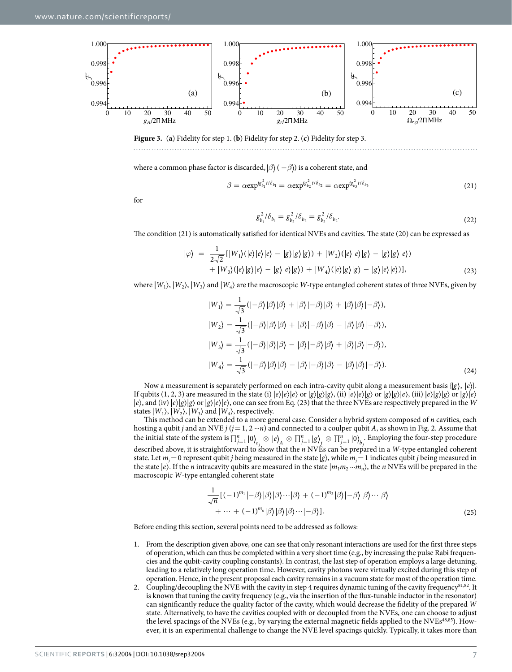

<span id="page-6-0"></span>**Figure 3.** (**a**) Fidelity for step 1. (**b**) Fidelity for step 2. (**c**) Fidelity for step 3.

where a common phase factor is discarded,  $\beta$  ( $-\beta$ )) is a coherent state, and

$$
\beta = \alpha \exp^{i g_{b_1}^2 t/\delta_{b_1}} = \alpha \exp^{i g_{b_2}^2 t/\delta_{b_2}} = \alpha \exp^{i g_{b_3}^2 t/\delta_{b_3}}
$$
(21)

for

$$
g_{b_1}^2 / \delta_{b_1} = g_{b_2}^2 / \delta_{b_2} = g_{b_2}^2 / \delta_{b_2}.
$$
 (22)

The condition (21) is automatically satisfied for identical NVEs and cavities. The state (20) can be expressed as

$$
|\varphi\rangle = \frac{1}{2\sqrt{2}}[|W_1\rangle(|e\rangle|e\rangle|e\rangle - |g\rangle|g\rangle|g\rangle) + |W_2\rangle(|e\rangle|e\rangle|g\rangle - |g\rangle|g\rangle|e\rangle) + |W_3\rangle(|e\rangle|g\rangle|e\rangle - |g\rangle|e\rangle|g\rangle) + |W_4\rangle(|e\rangle|g\rangle|g\rangle - |g\rangle|e\rangle|e\rangle)],
$$
(23)

where  $|W_1\rangle$ ,  $|W_2\rangle$ ,  $|W_3\rangle$  and  $|W_4\rangle$  are the macroscopic *W*-type entangled coherent states of three NVEs, given by

$$
|W_1\rangle = \frac{1}{\sqrt{3}}(|-\beta\rangle|\beta\rangle|\beta\rangle + |\beta\rangle|-\beta\rangle|\beta\rangle + |\beta\rangle|\beta\rangle|-\beta\rangle),
$$
  
\n
$$
|W_2\rangle = \frac{1}{\sqrt{3}}(|-\beta\rangle|\beta\rangle|\beta\rangle + |\beta\rangle|-\beta\rangle|\beta\rangle - |\beta\rangle|\beta\rangle|-\beta\rangle),
$$
  
\n
$$
|W_3\rangle = \frac{1}{\sqrt{3}}(|-\beta\rangle|\beta\rangle|\beta\rangle - |\beta\rangle|-\beta\rangle|\beta\rangle + |\beta\rangle|\beta\rangle|-\beta\rangle),
$$
  
\n
$$
|W_4\rangle = \frac{1}{\sqrt{3}}(|-\beta\rangle|\beta\rangle|\beta\rangle - |\beta\rangle|-\beta\rangle|\beta\rangle - |\beta\rangle|\beta\rangle|-\beta\rangle).
$$
  
\n(24)

Now a measurement is separately performed on each intra-cavity qubit along a measurement basis  $\{g\}, \{e\}$ . If qubits (1, 2, 3) are measured in the state (i)  $|e\rangle|e\rangle|e\rangle$  or  $|g\rangle|g\rangle|g\rangle$ , (ii)  $|e\rangle|e\rangle|g\rangle$  or  $|g\rangle|g\rangle|e\rangle$ , (iii)  $|e\rangle|g\rangle|g\rangle$  or  $|g\rangle|g\rangle$  or  $|g\rangle|e\rangle$  $|e\rangle$ , and (iv)  $|e\rangle|g\rangle|g\rangle$  or  $|g\rangle|e\rangle|e\rangle$ , one can see from Eq. (23) that the three NVEs are respectively prepared in the *W* states  $|W_1\rangle$ ,  $|W_2\rangle$ ,  $|W_3\rangle$  and  $|W_4\rangle$ , respectively.

This method can be extended to a more general case. Consider a hybrid system composed of *n* cavities, each hosting a qubit *j* and an NVE *j* ( $j = 1, 2 \cdots n$ ) and connected to a coulper qubit *A*, as shown in [Fig. 2.](#page-4-0) Assume that the initial state of the system is  $\prod_{j=1}^{n} |0\rangle_{c_j} \otimes |e\rangle_A \otimes \prod_{j=1}^{n} |g\rangle_j \otimes \prod_{j=1}^{n} |0\rangle_{b_j}$ . Employing the four-step procedure described above, it is straightforward to show that the *n* NVEs can be prepared in a *W*-type entangled coherent state. Let  $m_j = 0$  represent qubit *j* being measured in the state  $|g\rangle$ , while  $m_j = 1$  indicates qubit *j* being measured in the state  $|e\rangle$ . If the *n* intracavity qubits are measured in the state  $|m_1m_2\cdots m_n\rangle$ , the *n* NVEs will be prepared in the macroscopic *W*-type entangled coherent state

$$
\frac{1}{\sqrt{n}}\left[(-1)^{m_1}|\beta\rangle|\beta\rangle\cdots|\beta\rangle+(-1)^{m_2}|\beta\rangle|\beta\rangle\cdots|\beta\rangle
$$
  
+ ... +  $(-1)^{m_n}|\beta\rangle|\beta\rangle|\beta\rangle\cdots|\beta\rangle$ ]. (25)

Before ending this section, several points need to be addressed as follows:

- 1. From the description given above, one can see that only resonant interactions are used for the first three steps of operation, which can thus be completed within a very short time (e.g., by increasing the pulse Rabi frequencies and the qubit-cavity coupling constants). In contrast, the last step of operation employs a large detuning, leading to a relatively long operation time. However, cavity photons were virtually excited during this step of operation. Hence, in the present proposal each cavity remains in a vacuum state for most of the operation time.
- 2. Coupling/decoupling the NVE with the cavity in step 4 requires dynamic tuning of the cavity frequency<sup>81,[82](#page-13-11)</sup>. It is known that tuning the cavity frequency (e.g., via the insertion of the flux-tunable inductor in the resonator) can significantly reduce the quality factor of the cavity, which would decrease the fidelity of the prepared *W* state. Alternatively, to have the cavities coupled with or decoupled from the NVEs, one can choose to adjust the level spacings of the NVEs (e.g., by varying the external magnetic fields applied to the NVEs<sup>48,85</sup>). However, it is an experimental challenge to change the NVE level spacings quickly. Typically, it takes more than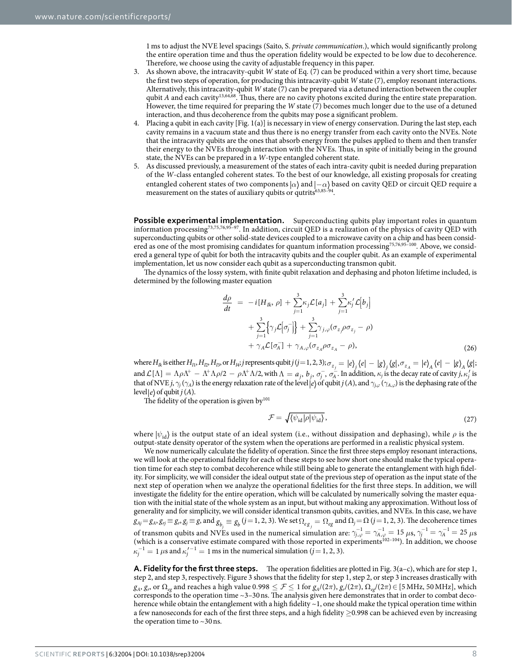1ms to adjust the NVE level spacings (Saito, S. *private communication*.), which would significantly prolong the entire operation time and thus the operation fidelity would be expected to be low due to decoherence. Therefore, we choose using the cavity of adjustable frequency in this paper.

- 3. As shown above, the intracavity-qubit *W* state of Eq. (7) can be produced within a very short time, because the first two steps of operation, for producing this intracavity-qubit *W* state (7), employ resonant interactions. Alternatively, this intracavity-qubit *W* state (7) can be prepared via a detuned interaction between the coupler qubit *A* and each cavity<sup>[13](#page-12-27),[64](#page-13-14),[68](#page-13-15)</sup>. Thus, there are no cavity photons excited during the entire state preparation. However, the time required for preparing the *W* state (7) becomes much longer due to the use of a detuned interaction, and thus decoherence from the qubits may pose a significant problem.
- 4. Placing a qubit in each cavity [[Fig. 1\(a\)](#page-2-0)] is necessary in view of energy conservation. During the last step, each cavity remains in a vacuum state and thus there is no energy transfer from each cavity onto the NVEs. Note that the intracavity qubits are the ones that absorb energy from the pulses applied to them and then transfer their energy to the NVEs through interaction with the NVEs. Thus, in spite of initially being in the ground state, the NVEs can be prepared in a *W*-type entangled coherent state.
- 5. As discussed previously, a measurement of the states of each intra-cavity qubit is needed during preparation of the *W*-class entangled coherent states. To the best of our knowledge, all existing proposals for creating entangled coherent states of two components  $\alpha$  and  $-\alpha$  based on cavity QED or circuit QED require a measurement on the states of auxiliary qubits or qutrits<sup>[63](#page-13-3),85-94</sup>.

**Possible experimental implementation.** Superconducting qubits play important roles in quantum information processing[73,](#page-13-17)[75,](#page-13-18)[76,](#page-13-19)9[5–](#page-13-20)97. In addition, circuit QED is a realization of the physics of cavity QED with superconducting qubits or other solid-state devices coupled to a microwave cavity on a chip and has been consid-ered as one of the most promising candidates for quantum information processing<sup>[75,](#page-13-18)[76,](#page-13-19)95-100</sup>. Above, we considered a general type of qubit for both the intracavity qubits and the coupler qubit. As an example of experimental implementation, let us now consider each qubit as a superconducting transmon qubit.

The dynamics of the lossy system, with finite qubit relaxation and dephasing and photon lifetime included, is determined by the following master equation

$$
\frac{d\rho}{dt} = -i[H_{Ik}, \rho] + \sum_{j=1}^{3} \kappa_j \mathcal{L}[a_j] + \sum_{j=1}^{3} \kappa'_j \mathcal{L}[b_j]
$$
  
+ 
$$
\sum_{j=1}^{3} {\gamma_j \mathcal{L}[\sigma_j^-]} + \sum_{j=1}^{3} \gamma_{j,\varphi} (\sigma_{z_j} \rho \sigma_{z_j} - \rho)
$$
  
+ 
$$
\gamma_A \mathcal{L}[\sigma_A^-] + \gamma_{A,\varphi} (\sigma_{z_A} \rho \sigma_{z_A} - \rho),
$$
 (26)

where  $H_{I\!k}$  is either  $H_{I\!1},H_{I\!2},H_{I\!3},$  or  $H_{I\!4}$  j represents qubit j (j = 1, 2, 3);  $\sigma_{z_j}=\ket{e}_j\bra{e}-\ket{g}_j\bra{g}$  ,  $\sigma_{z_A}=\ket{e}_A\bra{e}-\ket{g}_A\bra{g}$  ; and  $\mathcal{L}[\Lambda] = \Lambda \rho \Lambda^+ - \Lambda^+ \Lambda \rho/2 - \rho \Lambda^+ \Lambda/2$ , with  $\Lambda = a_j, b_j, \sigma_j^-$ ,  $\sigma_A^-$ . In addition,  $\kappa_j$  is the decay rate of cavity  $j, \kappa_j'$  is that of NVE  $j$ ,  $\gamma_j(\gamma_A)$  is the energy relaxation rate of the level  $|e\rangle$  of qubit  $j(A)$ , and  $\gamma_{j,\varphi}(\gamma_{A,\varphi})$  is the dephasing rate of the level  $|e\rangle$  of qubit  $j(A)$ .

The fidelity of the operation is given  $by<sup>101</sup>$  $by<sup>101</sup>$  $by<sup>101</sup>$ 

$$
\mathcal{F} = \sqrt{\langle \psi_{\rm id} | \rho | \psi_{\rm id} \rangle},\tag{27}
$$

where  $|\psi_{id}\rangle$  is the output state of an ideal system (i.e., without dissipation and dephasing), while *ρ* is the output-state density operator of the system when the operations are performed in a realistic physical system.

We now numerically calculate the fidelity of operation. Since the first three steps employ resonant interactions, we will look at the operational fidelity for each of these steps to see how short one should make the typical operation time for each step to combat decoherence while still being able to generate the entanglement with high fidelity. For simplicity, we will consider the ideal output state of the previous step of operation as the input state of the next step of operation when we analyze the operational fidelities for the first three steps. In addition, we will investigate the fidelity for the entire operation, which will be calculated by numerically solving the master equation with the initial state of the whole system as an input, but without making any approximation. Without loss of generality and for simplicity, we will consider identical transmon qubits, cavities, and NVEs. In this case, we have  $g_{Aj} = g_A$ ,  $g_{rj} \equiv g_r$ ,  $g_j \equiv g$ , and  $g_{b_j} \equiv g_b$   $(j = 1, 2, 3)$ . We set  $\Omega_{eg}$  and  $\Omega_j = \Omega$   $(j = 1, 2, 3)$ . The decoherence times of transmon qubits and NVEs used in the numerical simulation are:  $\gamma_{j,\varphi}^{-1} = \gamma_{A,\varphi}^{-1} = 15 \mu s$ ,  $\gamma_j^{-1} = \gamma_A^{-1} = 25 \mu s$ (which is a conservative estimate compared with those reported in experiments<sup>102-104</sup>). In addition, we choose  $\kappa_j^{-1} = 1$  *μ*s and  $\kappa_j'^{-1} = 1$  ms in the numerical simulation (*j* = 1, 2, 3).

**A. Fidelity for the first three steps.** The operation fidelities are plotted in [Fig. 3\(a–c\)](#page-6-0), which are for step 1, step 2, and step 3, respectively. [Figure 3](#page-6-0) shows that the fidelity for step 1, step 2, or step 3 increases drastically with  $g_A$ ,  $g_r$ , or  $\Omega_{eg}$  and reaches a high value 0.998  $\leq \mathcal{F} \leq 1$  for  $g_A/(2\pi)$ ,  $g_r/(2\pi)$ ,  $\Omega_{eg}/(2\pi) \in [5 \text{ MHz}, 50 \text{ MHz}]$ , which corresponds to the operation time ~3–30ns. The analysis given here demonstrates that in order to combat decoherence while obtain the entanglement with a high fidelity  $\sim$  1, one should make the typical operation time within a few nanoseconds for each of the first three steps, and a high fidelity ≥0.998 can be achieved even by increasing the operation time to  $\sim$ 30 ns.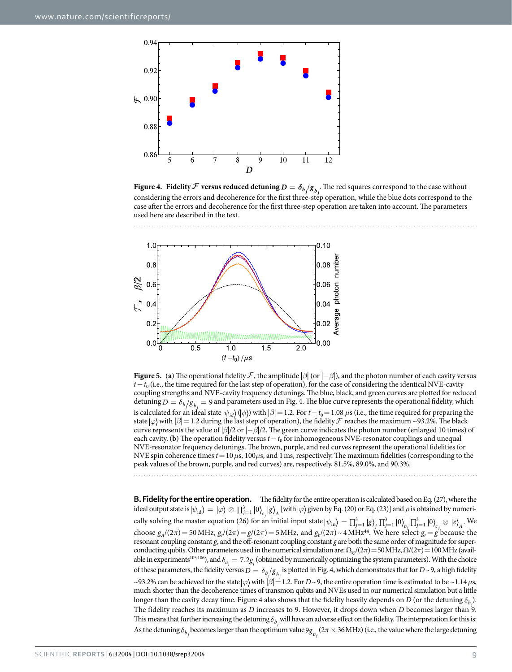

<span id="page-8-0"></span>**Figure 4.** Fidelity  $F$  versus reduced detuning  $D = \delta_{b_j}/g_{b_j}$ . The red squares correspond to the case without considering the errors and decoherence for the first three-step operation, while the blue dots correspond to the case after the errors and decoherence for the first three-step operation are taken into account. The parameters used here are described in the text.



<span id="page-8-1"></span>**Figure 5.** (a) The operational fidelity F, the amplitude  $|\beta|$  (or  $|-\beta|$ ), and the photon number of each cavity versus *t*−*t*<sub>0</sub> (i.e., the time required for the last step of operation), for the case of considering the identical NVE-cavity coupling strengths and NVE-cavity frequency detunings. The blue, black, and green curves are plotted for reduced detuning  $D = \delta_{b_j}/g_{b_j} = 9$  and parameters used in [Fig. 4.](#page-8-0) The blue curve represents the operational fidelity, which is calculated for an ideal state  $|\psi_{id}\rangle(|\phi\rangle)$  with  $|\beta|=1.2$ . For  $t-t_0=1.08$   $\mu$ s (i.e., the time required for preparing the state  $\varphi$  with  $\beta$  = 1.2 during the last step of operation), the fidelity *F* reaches the maximum ~93.2%. The black curve represents the value of |*β*|/2 or |−*β*|/2. The green curve indicates the photon number (enlarged 10 times) of each cavity. (**b**) The operation fidelity versus  $t-t_0$  for inhomogeneous NVE-resonator couplings and unequal NVE-resonator frequency detunings. The brown, purple, and red curves represent the operational fidelities for NVE spin coherence times *t*=10*μ*s, 100*μ*s, and 1ms, respectively. The maximum fidelities (corresponding to the peak values of the brown, purple, and red curves) are, respectively, 81.5%, 89.0%, and 90.3%.

**B. Fidelity for the entire operation.** The fidelity for the entire operation is calculated based on Eq. (27), where the ideal output state is  $\ket{\psi_{\text{id}}}=\ket{\varphi}\otimes \prod_{j=1}^3\ket{0}_{\epsilon_j}\ket{g}_{A}$  [with  $\ket{\varphi}$  given by Eq. (20) or Eq. (23)] and  $\rho$  is obtained by numerically solving the master equation (26) for an initial input state  $|\psi_{in}\rangle = \prod_{j=1}^{3} |g\rangle_j \prod_{j=1}^{3} |0\rangle_{b_j} \prod_{j=1}^{3} |0\rangle_{c_j} \otimes |e\rangle_A$ . We choose  $g_A/(2\pi) = 50$  MHz,  $g_r/(2\pi) = g/(2\pi) = 5$  MHz, and  $g_b/(2\pi) \sim 4$  MHz<sup>[44](#page-12-16)</sup>. We here select  $g_r = g$  because the resonant coupling constant *gr* and the off-resonant coupling constant *g* are both the same order of magnitude for superconducting qubits. Other parameters used in the numerical simulation are: Ω*eg*/(2*π*)= 50MHz, Ω/(2*π*)= 100MHz (available in experiments<sup>105,106</sup>), and  $\delta_{a_j} = 7.2g_j$  (obtained by numerically optimizing the system parameters). With the choice of these parameters, the fidelity versus  $D = \delta_{b_j}/g_{b_j}$  is plotted in [Fig. 4,](#page-8-0) which demonstrates that for  $D \sim$ 9, a high fidelity  $\sim$ 93.2% can be achieved for the state  $\varphi$  with  $\beta$  = 1.2. For *D*  $\sim$  9, the entire operation time is estimated to be  $\sim$  1.14*μ*s, much shorter than the decoherence times of transmon qubits and NVEs used in our numerical simulation but a little longer than the cavity decay time. [Figure 4](#page-8-0) also shows that the fidelity heavily depends on *D* (or the detuning  $\delta_{b_j}$ ). The fidelity reaches its maximum as *D* increases to 9. However, it drops down when *D* becomes larger than 9. This means that further increasing the detuning  $\delta_{b_j}$  will have an adverse effect on the fidelity. The interpretation for this is: As the detuning  $\delta_{b_j}$  becomes larger than the optimum value  $9g_{b_j}(2\pi \times 36\text{MHz})$  (i.e., the value where the large detuning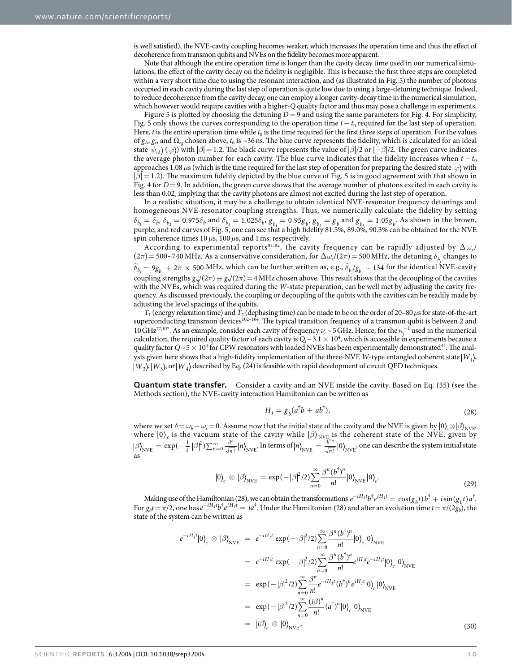is well satisfied), the NVE-cavity coupling becomes weaker, which increases the operation time and thus the effect of decoherence from transmon qubits and NVEs on the fidelity becomes more apparent.

Note that although the entire operation time is longer than the cavity decay time used in our numerical simulations, the effect of the cavity decay on the fidelity is negligible. This is because: the first three steps are completed within a very short time due to using the resonant interaction, and (as illustrated in [Fig. 5\)](#page-8-1) the number of photons occupied in each cavity during the last step of operation is quite low due to using a large-detuning technique. Indeed, to reduce decoherence from the cavity decay, one can employ a longer cavity-decay time in the numerical simulation, which however would require cavities with a higher-*Q* quality factor and thus may pose a challenge in experiments.

[Figure 5](#page-8-1) is plotted by choosing the detuning  $D=9$  and using the same parameters for [Fig. 4.](#page-8-0) For simplicity, [Fig. 5](#page-8-1) only shows the curves corresponding to the operation time  $t-t_0$  required for the last step of operation. Here, *t* is the entire operation time while  $t_0$  is the time required for the first three steps of operation. For the values of *gA*, *gr*, and Ω*eg* chosen above, *t*0 is ~36ns. The blue curve represents the fidelity, which is calculated for an ideal state  $|\psi_{id}\rangle$  ( $|\varphi\rangle$ ) with  $|\beta|=1.2$ . The black curve represents the value of  $|\beta|/2$  or  $|-\beta|/2$ . The green curve indicates the average photon number for each cavity. The blue curve indicates that the fidelity increases when  $t - t_0$ approaches 1.08*μ*s (which is the time required for the last step of operation for preparing the desired state *ϕ* with | $β$ |= 1.2). The maximum fidelity depicted by the blue curve of [Fig. 5](#page-8-1) is in good agreement with that shown in [Fig. 4](#page-8-0) for *D* = 9. In addition, the green curve shows that the average number of photons excited in each cavity is less than 0.02, implying that the cavity photons are almost not excited during the last step of operation.

In a realistic situation, it may be a challenge to obtain identical NVE-resonator frequency detunings and homogeneous NVE-resonator coupling strengths. Thus, we numerically calculate the fidelity by setting  $\delta_{b_1} = \delta_{b_1} \delta_{b_2} = 0.975\delta_{b_1}$  and  $\delta_{b_3} = 1.025\delta_{b_1} g_{b_2} = 0.95g_{b_1} g_{b_3} = g_{b_1}$  and  $g_{b_3} = 1.05g_{b_1}$ . As shown in the brown, purple, and red curves of [Fig. 5,](#page-8-1) one can see that a high fidelity 81.5%, 89.0%, 90.3% can be obtained for the NVE spin coherence times 10*μ*s, 100*μ*s, and 1ms, respectively.

According to experimental reports<sup>[81,](#page-13-10)82</sup>, the cavity frequency can be rapidly adjusted by  $\Delta \omega_c$ /  $(2\pi)$  = 500~740 MHz. As a conservative consideration, for  $\Delta\omega_c/(2\pi)$  = 500 MHz, the detuning  $\delta_{b_j}$  changes to  $\widetilde{\delta}_{b_j} = 9g_{b_j} + 2\pi \times 500$  MHz, which can be further written as, e.g.,  $\widetilde{\delta}_{b_j}/g_{b_j} \sim 134$  for the identical NVE-cavity coupling strengths  $g_{b}/(2\pi) = g_b/(2\pi) = 4$  MHz chosen above. This result shows that the decoupling of the cavities with the NVEs, which was required during the *W*-state preparation, can be well met by adjusting the cavity frequency. As discussed previously, the coupling or decoupling of the qubits with the cavities can be readily made by adjusting the level spacings of the qubits.

*T*1 (energy relaxation time) and *T*2 (dephasing time) can be made to be on the order of 20–80*μ*s for state-of-the-art superconducting transmon devices<sup>102-104</sup>. The typical transition frequency of a transmon qubit is between 2 and 10 GHz<sup>[77](#page-13-23),107</sup>. As an example, consider each cavity of frequency  $\nu_c \sim 5\,\text{GHz}$ . Hence, for the  $\kappa_j^{-1}$  used in the numerical calculation, the required quality factor of each cavity is  $Q_j \sim 3.1 \times 10^4$ , which is accessible in experiments because a quality factor  $Q \sim 5 \times 10^4$  for CPW resonators with loaded NVEs has been experimentally demonstrated<sup>44</sup>. The analysis given here shows that a high-fidelity implementation of the three-NVE *W*-type entangled coherent state  $|W_1\rangle$ ,  $|W_2\rangle$ ,  $|W_3\rangle$ , or  $|W_4\rangle$  described by Eq. (24) is feasible with rapid development of circuit QED techniques.

**Quantum state transfer.** Consider a cavity and an NVE inside the cavity. Based on Eq. (35) (see the Methods section), the NVE-cavity interaction Hamiltonian can be written as

$$
H_I = g_b(a^\dagger b + a b^\dagger),\tag{28}
$$

where we set  $\delta = \omega_b - \omega_c = 0$ . Assume now that the initial state of the cavity and the NVE is given by  $|0\rangle_c \otimes |\beta\rangle_{NVE}$ , where  $|0\rangle_c$  is the vacuum state of the cavity while  $|\beta\rangle_{NVE_c}$  is the coherent state of the NVE, given by  $\beta \right|_{\text{NVE}} = \exp(-\frac{1}{2}|\beta|^2) \sum_{n=0}^{\infty} \frac{\beta^n}{\sqrt{n!}} |n|$ 2 <sup>2</sup>)  $\sum_{n=0}^{\infty} \frac{\beta^n}{\sqrt{n!}} |n\rangle_{\text{NVE}}$  $\frac{n}{\overline{n!}}|n\rangle_{\text{NVE}}.$  In terms of  $\ket{n}_{\text{NVE}}=\frac{b^{\dagger n}}{\sqrt{n\hskip2pt2pt!}}|0\rangle_{\text{NVE}}$  $\frac{n}{p}$  | 0)<sub>NVE</sub>, one can describe the system initial state as

$$
|0\rangle_c \otimes |\beta\rangle_{\text{NVE}} = \exp(-|\beta|^2/2) \sum_{n=0}^{\infty} \frac{\beta^n (b^{\dagger})^n}{n!} |0\rangle_{\text{NVE}} |0\rangle_c.
$$
 (29)

Making use of the Hamiltonian (28), we can obtain the transformations  $e^{-iH_1t}b^{\dagger}e^{iH_1t} = \cos(g_b t)b^{\dagger} + i\sin(g_b t)a^{\dagger}$ . For  $g_b t = \pi/2$ , one has  $e^{-iH_I t}b^{\dagger}e^{iH_I t} = ia^{\dagger}$ . Under the Hamiltonian (28) and after an evolution time  $t = \pi/(2g_b)$ , the state of the system can be written as

$$
e^{-iH_I t}|0\rangle_c \otimes |\beta\rangle_{\text{NVE}} = e^{-iH_I t} \exp(-|\beta|^2/2) \sum_{n=0}^{\infty} \frac{\beta^n (b^{\dagger})^n}{n!} |0\rangle_c |0\rangle_{\text{NVE}}
$$
  
\n
$$
= e^{-iH_I t} \exp(-|\beta|^2/2) \sum_{n=0}^{\infty} \frac{\beta^n (b^{\dagger})^n}{n!} e^{iH_I t} e^{-iH_I t} |0\rangle_c |0\rangle_{\text{NVE}}
$$
  
\n
$$
= \exp(-|\beta|^2/2) \sum_{n=0}^{\infty} \frac{\beta^n}{n!} e^{-iH_I t} (b^{\dagger})^n e^{iH_I t} |0\rangle_c |0\rangle_{\text{NVE}}
$$
  
\n
$$
= \exp(-|\beta|^2/2) \sum_{n=0}^{\infty} \frac{(i\beta)^n}{n!} (a^{\dagger})^n |0\rangle_c |0\rangle_{\text{NVE}}
$$
  
\n
$$
= |i\beta\rangle_c \otimes |0\rangle_{\text{NVE}}, \tag{30}
$$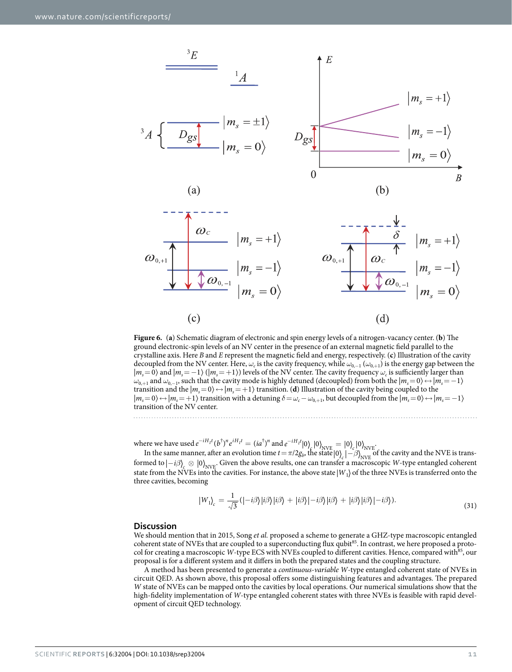



<span id="page-10-0"></span>**Figure 6.** (**a**) Schematic diagram of electronic and spin energy levels of a nitrogen-vacancy center. (**b**) The ground electronic-spin levels of an NV center in the presence of an external magnetic field parallel to the crystalline axis. Here *B* and *E* represent the magnetic field and energy, respectively. (**c**) Illustration of the cavity decoupled from the NV center. Here,  $\omega_c$  is the cavity frequency, while  $\omega_{0,-1}(\omega_{0,+1})$  is the energy gap between the |*ms*=0〉 and |*ms*=−1〉 (|*ms*=+1〉) levels of the NV center. The cavity frequency *ωc* is sufficiently larger than *ω*<sub>0,+1</sub> and *ω*<sub>0,−1</sub>, such that the cavity mode is highly detuned (decoupled) from both the  $|m_s=0\rangle \leftrightarrow |m_s=−1\rangle$ transition and the  $|m_s=0\rangle \leftrightarrow |m_s=+1\rangle$  transition. (**d**) Illustration of the cavity being coupled to the  $|m_s=0\rangle$  ↔  $|m_s=+1\rangle$  transition with a detuning  $\delta = \omega_c - \omega_{0,+1}$ , but decoupled from the  $|m_s=0\rangle$  ↔  $|m_s=+1\rangle$ transition of the NV center.

where we have used  $e^{-iH_I t} (b^{\dagger})^n e^{iH_I t} = (ia^{\dagger})^n$  and  $e^{-iH_I t} |0\rangle_f |0\rangle_{\text{NVE}} = |0\rangle_c |0\rangle_{\text{NVE}}$ 

In the same manner, after an evolution time  $t = \pi/2g_b$ , the state  $|0\rangle_c | - \beta\rangle_{NVE}$  of the cavity and the NVE is transformed to  $\ket{-i\beta}_{\infty} \otimes \ket{0}_{NVE}$ . Given the above results, one can transfer a macroscopic *W*-type entangled coherent state from the NVEs into the cavities. For instance, the above state  $|W_1\rangle$  of the three NVEs is transferred onto the three cavities, becoming

$$
|W_1\rangle_c = \frac{1}{\sqrt{3}} (|-i\beta\rangle|i\beta\rangle|i\beta\rangle + |i\beta\rangle|-i\beta\rangle|i\beta\rangle + |i\beta\rangle|i\beta\rangle|-i\beta\rangle).
$$
\n(31)

#### **Discussion**

We should mention that in 2015, Song *et al.* proposed a scheme to generate a GHZ-type macroscopic entangled coherent state of NVEs that are coupled to a superconducting flux qubit<sup>85</sup>. In contrast, we here proposed a protocol for creating a macroscopic *W*-type ECS with NVEs coupled to different cavities. Hence, compared with<sup>[85](#page-13-16)</sup>, our proposal is for a different system and it differs in both the prepared states and the coupling structure.

A method has been presented to generate a *continuous-variable W*-type entangled coherent state of NVEs in circuit QED. As shown above, this proposal offers some distinguishing features and advantages. The prepared *W* state of NVEs can be mapped onto the cavities by local operations. Our numerical simulations show that the high-fidelity implementation of *W*-type entangled coherent states with three NVEs is feasible with rapid development of circuit QED technology.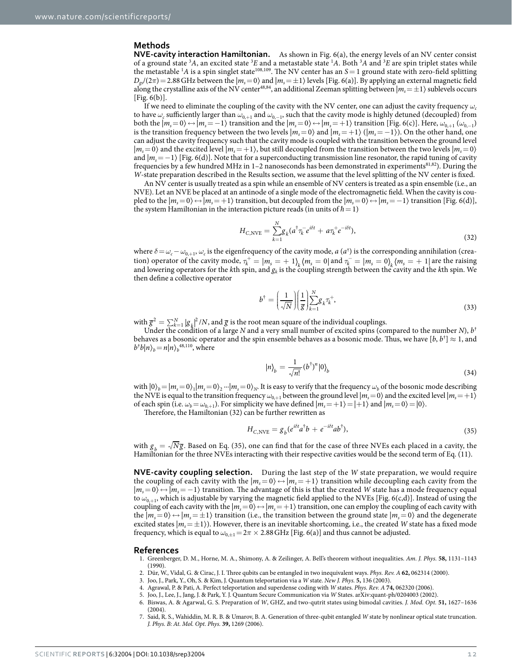#### **Methods**

**NVE-cavity interaction Hamiltonian.** As shown in [Fig. 6\(a\)](#page-10-0), the energy levels of an NV center consist of a ground state <sup>3</sup>A, an excited state <sup>3</sup>E and a metastable state <sup>1</sup>A. Both <sup>3</sup>A and <sup>3</sup>E are spin triplet states while the metastable <sup>1</sup>A is a spin singlet state<sup>[108](#page-14-3),[109](#page-14-4)</sup>. The NV center has an  $S=1$  ground state with zero-field splitting  $D_{gs}/(2\pi) = 2.88$  GHz between the  $|m_s = 0\rangle$  and  $|m_s = \pm 1\rangle$  levels [[Fig. 6\(a\)\]](#page-10-0). By applying an external magnetic field along the crystalline axis of the NV center<sup>[48](#page-12-29),[84](#page-13-13)</sup>, an additional Zeeman splitting between  $|m_s = \pm 1\rangle$  sublevels occurs  $[Fig. 6(b)].$  $[Fig. 6(b)].$  $[Fig. 6(b)].$ 

If we need to eliminate the coupling of the cavity with the NV center, one can adjust the cavity frequency  $\omega_c$ to have  $\omega_c$  sufficiently larger than  $\omega_{0,+1}$  and  $\omega_{0,-1}$ , such that the cavity mode is highly detuned (decoupled) from both the  $|m_s=0\rangle \leftrightarrow |m_s=-1\rangle$  transition and the  $|m_s=0\rangle \leftrightarrow |m_s=+1\rangle$  transition [[Fig. 6\(c\)\]](#page-10-0). Here,  $\omega_{0,+1}(\omega_{0,-1})$ is the transition frequency between the two levels  $|m_s=0\rangle$  and  $|m_s=+1\rangle$  ( $|m_s=-1\rangle$ ). On the other hand, one can adjust the cavity frequency such that the cavity mode is coupled with the transition between the ground level  $|m_s=0\rangle$  and the excited level  $|m_s=+1\rangle$ , but still decoupled from the transition between the two levels  $|m_s=0\rangle$ and  $|m_s=-1\rangle$  [\[Fig. 6\(d\)](#page-10-0)]. Note that for a superconducting transmission line resonator, the rapid tuning of cavity frequencies by a few hundred MHz in 1-2 nanoseconds has been demonstrated in experiments<sup>81,82</sup>). During the *W*-state preparation described in the Results section, we assume that the level splitting of the NV center is fixed.

An NV center is usually treated as a spin while an ensemble of NV centers is treated as a spin ensemble (i.e., an NVE). Let an NVE be placed at an antinode of a single mode of the electromagnetic field. When the cavity is coupled to the  $|m_s = 0\rangle \leftrightarrow |m_s = +1\rangle$  transition, but decoupled from the  $|m_s = 0\rangle \leftrightarrow |m_s = -1\rangle$  transition [[Fig. 6\(d\)](#page-10-0)], the system Hamiltonian in the interaction picture reads (in units of  $h = 1$ )

$$
H_{C,\text{NVE}} = \sum_{k=1}^{N} g_k (a^\dagger \tau_k^- e^{i\delta t} + a \tau_k^+ e^{-i\delta t}),\tag{32}
$$

where  $\delta = \omega_c - \omega_{0,+1}$ ,  $\omega_c$  is the eigenfrequency of the cavity mode, *a* (*a*<sup>†</sup>) is the corresponding annihilation (creation) operator of the cavity mode,  $\tau_k^+ = |m_s = + 1\rangle_k \langle m_s = 0 |$  and  $\tau_k^- = |m_s = 0\rangle_k \langle m_s = + 1 |$  are the raising and lowering operators for the *k*th spin, and *gk* is the coupling strength between the cavity and the *k*th spin. We then define a collective operator

$$
b^{\dagger} = \left(\frac{1}{\sqrt{N}}\right) \left(\frac{1}{g}\right) \sum_{k=1}^{N} g_k \tau_k^{+},\tag{33}
$$

with  $\bar{g}^2 = \sum_{k=1}^{N} |g_k|^2/N$ , and  $\bar{g}$  is the root mean square of the individual couplings.

Under the condition of a large *N* and a very small number of excited spins (compared to the number *N*), *b*<sup>†</sup> behaves as a bosonic operator and the spin ensemble behaves as a bosonic mode. Thus, we have  $[b,b^{\dagger}] \approx 1$ , and  $b^{\dagger}b|n\rangle_b = n|n\rangle_b^{48,110}$  $b^{\dagger}b|n\rangle_b = n|n\rangle_b^{48,110}$  $b^{\dagger}b|n\rangle_b = n|n\rangle_b^{48,110}$ , where

$$
|n\rangle_b = \frac{1}{\sqrt{n!}} (b^\dagger)^n |0\rangle_b \tag{34}
$$

with  $|0\rangle_b=|m_s=0\rangle_1|m_s=0\rangle_2\cdots|m_s=0\rangle_N$ . It is easy to verify that the frequency  $\omega_b$  of the bosonic mode describing the NVE is equal to the transition frequency  $\omega_{0,+1}$  between the ground level  $|m_s=0\rangle$  and the excited level  $|m_s=+1\rangle$ of each spin (i.e.  $\omega_b = \omega_{0,+1}$ ). For simplicity we have defined  $|m_s = +1\rangle = |+1\rangle$  and  $|m_s = 0\rangle = |0\rangle$ .

Therefore, the Hamiltonian (32) can be further rewritten as

$$
H_{C,\text{NVE}} = g_b (e^{i\delta t} a^\dagger b + e^{-i\delta t} a b^\dagger),\tag{35}
$$

with  $g_b = \sqrt{Ng}$ . Based on Eq. (35), one can find that for the case of three NVEs each placed in a cavity, the Hamiltonian for the three NVEs interacting with their respective cavities would be the second term of Eq. (11).

**NVE-cavity coupling selection.** During the last step of the *W* state preparation, we would require the coupling of each cavity with the  $|m_s = 0\rangle \leftrightarrow |m_s = +1\rangle$  transition while decoupling each cavity from the  $|m_s=0\rangle \leftrightarrow |m_s=-1\rangle$  transition. The advantage of this is that the created *W* state has a mode frequency equal to *ω*<sub>0,+1</sub>, which is adjustable by varying the magnetic field applied to the NVEs [\[Fig. 6\(c,d\)\]](#page-10-0). Instead of using the coupling of each cavity with the  $|m_s=0\rangle \leftrightarrow |m_s=+1\rangle$  transition, one can employ the coupling of each cavity with the  $|m_s=0\rangle \leftrightarrow |m_s=\pm 1\rangle$  transition (i.e., the transition between the ground state  $|m_s=0\rangle$  and the degenerate excited states  $|m_s = \pm 1\rangle$ ). However, there is an inevitable shortcoming, i.e., the created *W* state has a fixed mode frequency, which is equal to  $\omega_{0,\pm 1}=2\pi \times 2.88$  GHz [\[Fig. 6\(a\)\]](#page-10-0) and thus cannot be adjusted.

#### **References**

- <span id="page-11-0"></span>1. Greenberger, D. M., Horne, M. A., Shimony, A. & Zeilinger, A. Bell's theorem without inequalities. *Am. J. Phys.* **58,** 1131–1143 (1990).
- <span id="page-11-1"></span>2. Dür, W., Vidal, G. & Cirac, J. I. Three qubits can be entangled in two inequivalent ways. *Phys. Rev. A* **62,** 062314 (2000).
- <span id="page-11-2"></span>3. Joo, J., Park, Y., Oh, S. & Kim, J. Quantum teleportation via a *W* state. *New J. Phys.* **5,** 136 (2003).
- <span id="page-11-4"></span><span id="page-11-3"></span>4. Agrawal, P. & Pati, A. Perfect teleportation and superdense coding with *W* states. *Phys. Rev. A* **74,** 062320 (2006).
- 5. Joo, J., Lee, J., Jang, J. & Park, Y. J. Quantum Secure Communication via *W* States. arXiv:quant-ph/0204003 (2002).
- <span id="page-11-5"></span>6. Biswas, A. & Agarwal, G. S. Preparation of *W*, GHZ, and two-qutrit states using bimodal cavities. *J. Mod. Opt.* **51,** 1627–1636 (2004).
- 7. Said, R. S., Wahiddin, M. R. B. & Umarov, B. A. Generation of three-qubit entangled *W* state by nonlinear optical state truncation. *J. Phys. B: At. Mol. Opt. Phys.* **39,** 1269 (2006).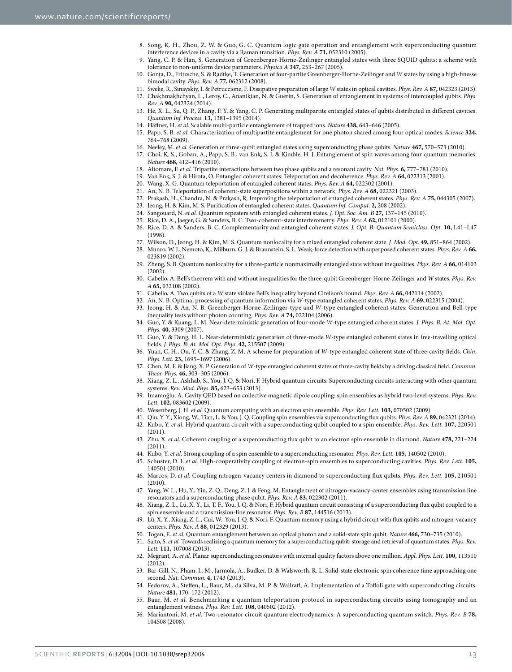- 8. Song, K. H., Zhou, Z. W. & Guo, G. C. Quantum logic gate operation and entanglement with superconducting quantum interference devices in a cavity via a Raman transition. *Phys. Rev. A* **71,** 052310 (2005).
- 9. Yang, C. P. & Han, S. Generation of Greenberger-Horne-Zeilinger entangled states with three SQUID qubits: a scheme with tolerance to non-uniform device parameters. *Physica A* **347,** 253–267 (2005).
- 10. Gonţa, D., Fritzsche, S. & Radtke, T. Generation of four-partite Greenberger-Horne-Zeilinger and *W* states by using a high-finesse bimodal cavity. *Phys. Rev. A* **77,** 062312 (2008).
- 11. Sweke, R., Sinayskiy, I. & Petruccione, F. Dissipative preparation of large *W* states in optical cavities. *Phys. Rev. A* **87,** 042323 (2013).
- 12. Chakhmakhchyan, L., Leroy, C., Ananikian, N. & Guérin, S. Generation of entanglement in systems of intercoupled qubits. *Phys. Rev. A* **90,** 042324 (2014).
- <span id="page-12-27"></span>13. He, X. L., Su, Q. P., Zhang, F. Y. & Yang, C. P. Generating multipartite entangled states of qubits distributed in different cavities. *Quantum Inf. Process.* **13,** 1381–1395 (2014).
- <span id="page-12-0"></span>14. Häffner, H. *et al.* Scalable multi-particle entanglement of trapped ions. *Nature* **438,** 643–646 (2005).
- <span id="page-12-1"></span>15. Papp, S. B. *et al.* Characterization of multipartite entanglement for one photon shared among four optical modes. *Science* **324,** 764–768 (2009).
- 16. Neeley, M. *et al.* Generation of three-qubit entangled states using superconducting phase qubits. *Nature* **467,** 570–573 (2010).
- <span id="page-12-3"></span><span id="page-12-2"></span>17. Choi, K. S., Goban, A., Papp, S. B., van Enk, S. J. & Kimble, H. J. Entanglement of spin waves among four quantum memories. *Nature* **468,** 412–416 (2010).
- <span id="page-12-4"></span>18. Altomare, F. *et al.* Tripartite interactions between two phase qubits and a resonant cavity. *Nat. Phys*. **6,** 777–781 (2010).
- 19. Van Enk, S. J. & Hirota, O. Entangled coherent states: Teleportation and decoherence. *Phys. Rev. A* **64,** 022313 (2001).
- <span id="page-12-5"></span>20. Wang, X. G. Quantum teleportation of entangled coherent states. *Phys. Rev. A* **64,** 022302 (2001).
- 21. An, N. B. Teleportation of coherent-state superpositions within a network. *Phys. Rev. A* **68,** 022321 (2003).
- 22. Prakash, H., Chandra, N. & Prakash, R. Improving the teleportation of entangled coherent states. *Phys. Rev. A* **75,** 044305 (2007).
- 23. Jeong, H. & Kim, M. S. Purification of entangled coherent states. *Quantum Inf. Comput.* **2,** 208 (2002).
- 24. Sangouard, N. *et al.* Quantum repeaters with entangled coherent states. *J. Opt. Soc. Am. B* **27,** 137–145 (2010).
- 25. Rice, D. A., Jaeger, G. & Sanders, B. C. Two-coherent-state interferometry. *Phys. Rev. A* **62,** 012101 (2000).
- 26. Rice, D. A. & Sanders, B. C. Complementarity and entangled coherent states. *J. Opt. B: Quantum Semiclass. Opt.* **10,** L41–L47 (1998).
- 27. Wilson, D., Jeong, H. & Kim, M. S. Quantum nonlocality for a mixed entangled coherent state. *J. Mod. Opt*. **49,** 851–864 (2002).
- 28. Munro, W. J., Nemoto, K., Milburn, G. J. & Braunstein, S. L. Weak-force detection with superposed coherent states. *Phys. Rev. A* **66,** 023819 (2002).
- <span id="page-12-6"></span>29. Zheng, S. B. Quantum nonlocality for a three-particle nonmaximally entangled state without inequalities. *Phys. Rev. A* **66,** 014103  $(2002)$
- <span id="page-12-7"></span>30. Cabello, A. Bell's theorem with and without inequalities for the three-qubit Greenberger-Horne-Zeilinger and *W* states. *Phys. Rev. A* **65,** 032108 (2002).
- <span id="page-12-8"></span>31. Cabello, A. Two qubits of a *W* state violate Bell's inequality beyond Cirel'son's bound. *Phys. Rev. A* **66,** 042114 (2002).
- 32. An, N. B. Optimal processing of quantum information via *W*-type entangled coherent states. *Phys. Rev. A* **69,** 022315 (2004).
- <span id="page-12-10"></span><span id="page-12-9"></span>33. Jeong, H. & An, N. B. Greenberger-Horne-Zeilinger-type and *W*-type entangled coherent states: Generation and Bell-type inequality tests without photon counting. *Phys. Rev. A* **74,** 022104 (2006).
- 34. Guo, Y. & Kuang, L. M. Near-deterministic generation of four-mode *W*-type entangled coherent states. *J. Phys. B: At. Mol. Opt. Phys.* **40,** 3309 (2007).
- 35. Guo, Y. & Deng, H. L. Near-deterministic generation of three-mode *W*-type entangled coherent states in free-travelling optical fields. *J. Phys. B: At. Mol. Opt. Phys.* **42,** 215507 (2009).
- <span id="page-12-11"></span>36. Yuan, C. H., Ou, Y. C. & Zhang, Z. M. A scheme for preparation of *W*-type entangled coherent state of three-cavity fields. *Chin. Phys. Lett.* **23,** 1695–1697 (2006).
- <span id="page-12-12"></span>37. Chen, M. F. & Jiang, X. P. Generation of *W*-type entangled coherent states of three-cavity fields by a driving classical field. *Commun. Theor. Phys.* **46,** 303–305 (2006).
- <span id="page-12-13"></span>38. Xiang, Z. L., Ashhab, S., You, J. Q. & Nori, F. Hybrid quantum circuits: Superconducting circuits interacting with other quantum systems. *Rev. Mod. Phys.* **85,** 623–653 (2013).
- <span id="page-12-22"></span>39. Imamoğlu, A. Cavity QED based on collective magnetic dipole coupling: spin ensembles as hybrid two-level systems. *Phys. Rev. Lett.* **102,** 083602 (2009).
- <span id="page-12-18"></span>40. Wesenberg, J. H. *et al.* Quantum computing with an electron spin ensemble. *Phys. Rev. Lett.* **103,** 070502 (2009).
- <span id="page-12-14"></span>41. Qiu, Y. Y., Xiong, W., Tian, L. & You, J. Q. Coupling spin ensembles via superconducting flux qubits. *Phys. Rev. A* **89,** 042321 (2014). 42. Kubo, Y. *et al.* Hybrid quantum circuit with a superconducting qubit coupled to a spin ensemble. *Phys. Rev. Lett.* **107,** 220501 (2011).
- <span id="page-12-15"></span>43. Zhu, X. *et al.* Coherent coupling of a superconducting flux qubit to an electron spin ensemble in diamond. *Nature* **478,** 221–224  $(2011)$
- <span id="page-12-16"></span>44. Kubo, Y. *et al.* Strong coupling of a spin ensemble to a superconducting resonator. *Phys. Rev. Lett.* **105,** 140502 (2010).
- <span id="page-12-17"></span>45. Schuster, D. I. *et al.* High-cooperativity coupling of electron-spin ensembles to superconducting cavities. *Phys. Rev. Lett.* **105,** 140501 (2010).
- <span id="page-12-19"></span>46. Marcos, D. *et al.* Coupling nitrogen-vacancy centers in diamond to superconducting flux qubits. *Phys. Rev. Lett.* **105,** 210501 (2010).
- 47. Yang, W. L., Hu, Y., Yin, Z. Q., Deng, Z. J. & Feng, M. Entanglement of nitrogen-vacancy-center ensembles using transmission line resonators and a superconducting phase qubit. *Phys. Rev. A* **83,** 022302 (2011).
- <span id="page-12-29"></span>48. Xiang, Z. L., Lü, X. Y., Li, T. F., You, J. Q. & Nori, F. Hybrid quantum circuit consisting of a superconducting flux qubit coupled to a spin ensemble and a transmission-line resonator. *Phys. Rev. B* **87,** 144516 (2013).
- 49. Lü, X. Y., Xiang, Z. L., Cui, W., You, J. Q. & Nori, F. Quantum memory using a hybrid circuit with flux qubits and nitrogen-vacancy centers. *Phys. Rev. A* **88,** 012329 (2013).
- <span id="page-12-20"></span>50. Togan, E. *et al.* Quantum entanglement between an optical photon and a solid-state spin qubit. *Nature* **466,** 730–735 (2010).
- <span id="page-12-21"></span>51. Saito, S. *et al.* Towards realizing a quantum memory for a superconducting qubit: storage and retrieval of quantum states. *Phys. Rev. Lett.* **111,** 107008 (2013).
- <span id="page-12-23"></span>52. Megrant, A. *et al.* Planar superconducting resonators with internal quality factors above one million. *Appl. Phys. Lett.* **100,** 113510 (2012).
- <span id="page-12-24"></span>53. Bar-Gill, N., Pham, L. M., Jarmola, A., Budker, D. & Walsworth, R. L. Solid-state electronic spin coherence time approaching one second. *Nat. Commun.* **4,** 1743 (2013).
- <span id="page-12-25"></span>54. Fedorov, A., Steffen, L., Baur, M., da Silva, M. P. & Wallraff, A. Implementation of a Toffoli gate with superconducting circuits. *Nature* **481,** 170–172 (2012).
- <span id="page-12-26"></span>55. Baur, M. *et al.* Benchmarking a quantum teleportation protocol in superconducting circuits using tomography and an entanglement witness. *Phys. Rev. Lett.* **108,** 040502 (2012).
- <span id="page-12-28"></span>56. Mariantoni, M. *et al.* Two-resonator circuit quantum electrodynamics: A superconducting quantum switch. *Phys. Rev. B* **78,** 104508 (2008).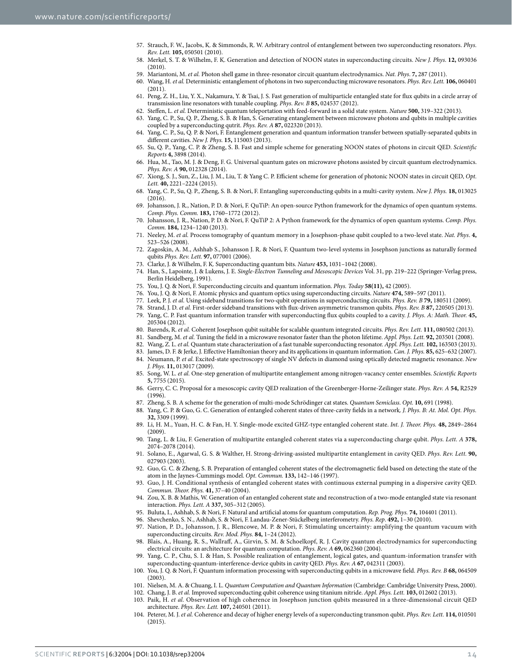- <span id="page-13-0"></span>57. Strauch, F. W., Jacobs, K. & Simmonds, R. W. Arbitrary control of entanglement between two superconducting resonators. *Phys. Rev. Lett.* **105,** 050501 (2010).
- <span id="page-13-1"></span>58. Merkel, S. T. & Wilhelm, F. K. Generation and detection of NOON states in superconducting circuits. *New J. Phys.* **12,** 093036  $(2010)$
- 59. Mariantoni, M. *et al.* Photon shell game in three-resonator circuit quantum electrodynamics. *Nat. Phys*. **7,** 287 (2011).
- <span id="page-13-2"></span>60. Wang, H. *et al.* Deterministic entanglement of photons in two superconducting microwave resonators. *Phys. Rev. Lett.* **106,** 060401  $(2011)$
- 61. Peng, Z. H., Liu, Y. X., Nakamura, Y. & Tsai, J. S. Fast generation of multiparticle entangled state for flux qubits in a circle array of transmission line resonators with tunable coupling. *Phys. Rev. B* **85,** 024537 (2012).
- 62. Steffen, L. *et al.* Deterministic quantum teleportation with feed-forward in a solid state system. *Nature* **500,** 319–322 (2013).
- <span id="page-13-3"></span>63. Yang, C. P., Su, Q. P., Zheng, S. B. & Han, S. Generating entanglement between microwave photons and qubits in multiple cavities coupled by a superconducting qutrit. *Phys. Rev. A* **87,** 022320 (2013).
- <span id="page-13-14"></span>64. Yang, C. P., Su, Q. P. & Nori, F. Entanglement generation and quantum information transfer between spatially-separated qubits in different cavities. *New J. Phys.* **15,** 115003 (2013).
- <span id="page-13-4"></span>65. Su, Q. P., Yang, C. P. & Zheng, S. B. Fast and simple scheme for generating NOON states of photons in circuit QED. *Scientific Reports* **4,** 3898 (2014).
- 66. Hua, M., Tao, M. J. & Deng, F. G. Universal quantum gates on microwave photons assisted by circuit quantum electrodynamics. *Phys. Rev. A* **90,** 012328 (2014).
- <span id="page-13-5"></span>67. Xiong, S. J., Sun, Z., Liu, J. M., Liu, T. & Yang C. P. Efficient scheme for generation of photonic NOON states in circuit QED, *Opt. Lett.* **40,** 2221–2224 (2015).
- <span id="page-13-15"></span>68. Yang, C. P., Su, Q. P., Zheng, S. B. & Nori, F. Entangling superconducting qubits in a multi-cavity system. *New J. Phys.* **18,** 013025 (2016).
- <span id="page-13-6"></span>69. Johansson, J. R., Nation, P. D. & Nori, F. QuTiP: An open-source Python framework for the dynamics of open quantum systems. *Comp. Phys. Comm.* **183,** 1760–1772 (2012).
- <span id="page-13-7"></span>70. Johansson, J. R., Nation, P. D. & Nori, F. QuTiP 2: A Python framework for the dynamics of open quantum systems. *Comp. Phys. Comm.* **184,** 1234–1240 (2013).
- <span id="page-13-8"></span>71. Neeley, M. *et al.* Process tomography of quantum memory in a Josephson-phase qubit coupled to a two-level state. *Nat. Phys*. **4,** 523–526 (2008).
- <span id="page-13-9"></span>72. Zagoskin, A. M., Ashhab S., Johansson J. R. & Nori, F. Quantum two-level systems in Josephson junctions as naturally formed qubits *Phys. Rev. Lett.* **97,** 077001 (2006).
- <span id="page-13-17"></span>73. Clarke, J. & Wilhelm, F. K. Superconducting quantum bits. *Nature* **453,** 1031–1042 (2008).
- 74. Han, S., Lapointe, J. & Lukens, J. E. *Single-Electron Tunneling and Mesoscopic Devices* Vol. 31, pp. 219–222 (Springer-Verlag press, Berlin Heidelberg, 1991).
- <span id="page-13-19"></span><span id="page-13-18"></span>75. You, J. Q. & Nori, F. Superconducting circuits and quantum information. *Phys. Today* **58(11),** 42 (2005).
- 76. You, J. Q. & Nori, F. Atomic physics and quantum optics using superconducting circuits. *Nature* **474,** 589–597 (2011).
- <span id="page-13-23"></span>77. Leek, P. J. *et al.* Using sideband transitions for two-qubit operations in superconducting circuits. *Phys. Rev. B* **79,** 180511 (2009).
- 78. Strand, J. D. *et al.* First-order sideband transitions with flux-driven asymmetric transmon qubits. *Phys. Rev. B* **87,** 220505 (2013).
- 79. Yang, C. P. Fast quantum information transfer with superconducting flux qubits coupled to a cavity. *J. Phys. A: Math. Theor.* **45,** 205304 (2012).
- 80. Barends, R. *et al.* Coherent Josephson qubit suitable for scalable quantum integrated circuits. *Phys. Rev. Lett.* **111,** 080502 (2013).
- <span id="page-13-10"></span>81. Sandberg, M. *et al.* Tuning the field in a microwave resonator faster than the photon lifetime. *Appl. Phys. Lett.* **92,** 203501 (2008).
- <span id="page-13-11"></span>82. Wang, Z. L. *et al.* Quantum state characterization of a fast tunable superconducting resonator. *Appl. Phys. Lett.* **102,** 163503 (2013).
- <span id="page-13-12"></span>83. James, D. F. & Jerke, J. Effective Hamiltonian theory and its applications in quantum information. *Can. J. Phys.* **85,** 625–632 (2007).
- <span id="page-13-13"></span>84. Neumann, P. *et al.* Excited-state spectroscopy of single NV defects in diamond using optically detected magnetic resonance. *New J. Phys.* **11,** 013017 (2009).
- <span id="page-13-16"></span>85. Song, W. L. *et al.* One-step generation of multipartite entanglement among nitrogen-vacancy center ensembles. *Scientific Reports* **5,** 7755 (2015).
- 86. Gerry, C. C. Proposal for a mesoscopic cavity QED realization of the Greenberger-Horne-Zeilinger state. *Phys. Rev. A* **54,** R2529 (1996).
- 87. Zheng, S. B. A scheme for the generation of multi-mode Schrödinger cat states. *Quantum Semiclass. Opt.* **10,** 691 (1998).
- 88. Yang, C. P. & Guo, G. C. Generation of entangled coherent states of three-cavity fields in a network. *J. Phys. B: At. Mol. Opt. Phys.* **32,** 3309 (1999).
- 89. Li, H. M., Yuan, H. C. & Fan, H. Y. Single-mode excited GHZ-type entangled coherent state. *Int. J. Theor. Phys.* **48,** 2849–2864 (2009).
- 90. Tang, L. & Liu, F. Generation of multipartite entangled coherent states via a superconducting charge qubit. *Phys. Lett. A* **378,** 2074–2078 (2014).
- 91. Solano, E., Agarwal, G. S. & Walther, H. Strong-driving-assisted multipartite entanglement in cavity QED. *Phys. Rev. Lett.* **90,** 027903 (2003).
- 92. Guo, G. C. & Zheng, S. B. Preparation of entangled coherent states of the electromagnetic field based on detecting the state of the atom in the Jaynes-Cummings model. *Opt. Commun.* **133,** 142–146 (1997).
- 93. Guo, J. H. Conditional synthesis of entangled coherent states with continuous external pumping in a dispersive cavity QED. *Commun. Theor. Phys.* **41,** 37–40 (2004).
- 94. Zou, X. B. & Mathis, W. Generation of an entangled coherent state and reconstruction of a two-mode entangled state via resonant interaction. *Phys. Lett. A* **337,** 305–312 (2005).
- 95. Buluta, I., Ashhab, S. & Nori, F. Natural and artificial atoms for quantum computation. *Rep. Prog. Phys.* **74,** 104401 (2011).
- <span id="page-13-20"></span>96. Shevchenko, S. N., Ashhab, S. & Nori, F. Landau-Zener-Stückelberg interferometry. *Phys. Rep*. **492,** 1–30 (2010).
- 97. Nation, P. D., Johansson, J. R., Blencowe, M. P. & Nori, F. Stimulating uncertainty: amplifying the quantum vacuum with superconducting circuits. *Rev. Mod. Phys.* **84,** 1–24 (2012).
- 98. Blais, A., Huang, R. S., Wallraff, A., Girvin, S. M. & Schoelkopf, R. J. Cavity quantum electrodynamics for superconducting electrical circuits: an architecture for quantum computation. *Phys. Rev. A* **69,** 062360 (2004).
- 99. Yang, C. P., Chu, S. I. & Han, S. Possible realization of entanglement, logical gates, and quantum-information transfer with superconducting-quantum-interference-device qubits in cavity QED. *Phys. Rev. A* **67,** 042311 (2003).
- 100. You, J. Q. & Nori, F. Quantum information processing with superconducting qubits in a microwave field. *Phys. Rev. B* **68,** 064509 (2003).
- <span id="page-13-21"></span>101. Nielsen, M. A. & Chuang, I. L. *Quantum Computation and Quantum Information* (Cambridge: Cambridge University Press, 2000).
- <span id="page-13-22"></span>102. Chang, J. B. *et al.* Improved superconducting qubit coherence using titanium nitride. *Appl. Phys. Lett.* **103,** 012602 (2013).
- 103. Paik, H. *et al.* Observation of high coherence in Josephson junction qubits measured in a three-dimensional circuit QED architecture. *Phys. Rev. Lett.* **107,** 240501 (2011).
- 104. Peterer, M. J. *et al.* Coherence and decay of higher energy levels of a superconducting transmon qubit. *Phys. Rev. Lett.* **114,** 010501 (2015).